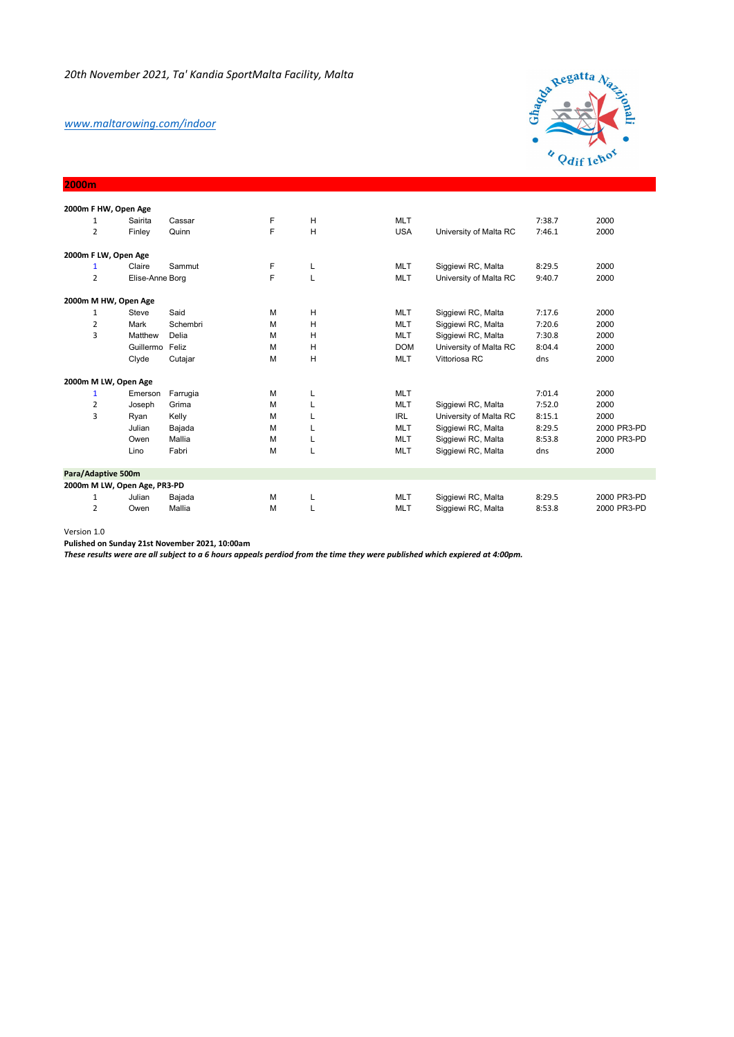## *www.maltarowing.com/indoor*

**2000m** 



|                | 2000m F HW, Open Age         |          |   |   |            |                        |        |             |
|----------------|------------------------------|----------|---|---|------------|------------------------|--------|-------------|
| 1              | Sairita                      | Cassar   | F | H | <b>MLT</b> |                        | 7:38.7 | 2000        |
| 2              | Finley                       | Quinn    | F | H | <b>USA</b> | University of Malta RC | 7:46.1 | 2000        |
|                | 2000m F LW, Open Age         |          |   |   |            |                        |        |             |
| 1              | Claire                       | Sammut   | F | L | <b>MLT</b> | Siggiewi RC, Malta     | 8:29.5 | 2000        |
| $\overline{2}$ | Elise-Anne Borg              |          | F | L | <b>MLT</b> | University of Malta RC | 9:40.7 | 2000        |
|                | 2000m M HW, Open Age         |          |   |   |            |                        |        |             |
| 1              | Steve                        | Said     | M | H | <b>MLT</b> | Siggiewi RC, Malta     | 7:17.6 | 2000        |
| $\overline{2}$ | Mark                         | Schembri | М | H | <b>MLT</b> | Siggiewi RC, Malta     | 7:20.6 | 2000        |
| 3              | Matthew                      | Delia    | М | н | <b>MLT</b> | Siggiewi RC, Malta     | 7:30.8 | 2000        |
|                | Guillermo Feliz              |          | м | H | <b>DOM</b> | University of Malta RC | 8:04.4 | 2000        |
|                | Clyde                        | Cutajar  | M | H | <b>MLT</b> | Vittoriosa RC          | dns    | 2000        |
|                | 2000m M LW, Open Age         |          |   |   |            |                        |        |             |
| 1              | Emerson                      | Farrugia | M |   | <b>MLT</b> |                        | 7:01.4 | 2000        |
| $\overline{2}$ | Joseph                       | Grima    | М |   | <b>MLT</b> | Siggiewi RC, Malta     | 7:52.0 | 2000        |
| 3              | Ryan                         | Kelly    | М |   | <b>IRL</b> | University of Malta RC | 8:15.1 | 2000        |
|                | Julian                       | Bajada   | M |   | <b>MLT</b> | Siggiewi RC, Malta     | 8:29.5 | 2000 PR3-PD |
|                | Owen                         | Mallia   | M |   | <b>MLT</b> | Siggiewi RC, Malta     | 8:53.8 | 2000 PR3-PD |
|                | Lino                         | Fabri    | M |   | <b>MLT</b> | Siggiewi RC, Malta     | dns    | 2000        |
|                | Para/Adaptive 500m           |          |   |   |            |                        |        |             |
|                | 2000m M LW, Open Age, PR3-PD |          |   |   |            |                        |        |             |
| 1              | Julian                       | Bajada   | M |   | <b>MLT</b> | Siggiewi RC, Malta     | 8:29.5 | 2000 PR3-PD |
| $\overline{2}$ | Owen                         | Mallia   | м |   | <b>MLT</b> | Siggiewi RC, Malta     | 8:53.8 | 2000 PR3-PD |

Version 1.0

**Pulished on Sunday 21st November 2021, 10:00am**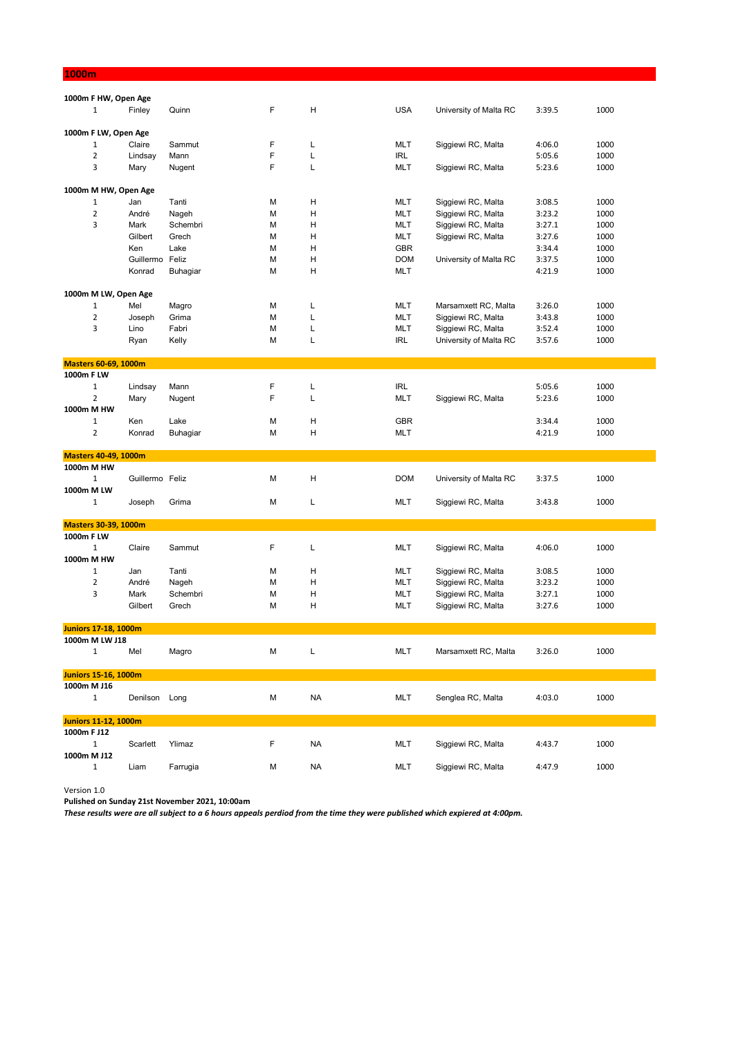| 1000m                          |                             |                 |                   |  |        |           |  |                          |                        |                  |              |
|--------------------------------|-----------------------------|-----------------|-------------------|--|--------|-----------|--|--------------------------|------------------------|------------------|--------------|
|                                |                             |                 |                   |  |        |           |  |                          |                        |                  |              |
| $\mathbf{1}$                   | 1000m F HW, Open Age        | Finley          | Quinn             |  | F      | H         |  | <b>USA</b>               | University of Malta RC | 3:39.5           | 1000         |
|                                |                             |                 |                   |  |        |           |  |                          |                        |                  |              |
|                                | 1000m F LW, Open Age        |                 |                   |  |        |           |  |                          |                        |                  |              |
| 1                              |                             | Claire          | Sammut            |  | F      | L         |  | <b>MLT</b>               | Siggiewi RC, Malta     | 4:06.0           | 1000         |
| $\overline{2}$                 |                             | Lindsay         | Mann              |  | F      | L         |  | <b>IRL</b>               |                        | 5:05.6           | 1000         |
| 3                              | Mary                        |                 | Nugent            |  | F      | L         |  | <b>MLT</b>               | Siggiewi RC, Malta     | 5:23.6           | 1000         |
|                                |                             |                 |                   |  |        |           |  |                          |                        |                  |              |
|                                | 1000m M HW, Open Age        |                 |                   |  |        |           |  |                          |                        |                  |              |
| $\mathbf{1}$                   | Jan                         |                 | Tanti             |  | M      | Н         |  | <b>MLT</b>               | Siggiewi RC, Malta     | 3:08.5           | 1000         |
| $\mathbf 2$                    |                             | André           | Nageh             |  | M      | Η         |  | <b>MLT</b>               | Siggiewi RC, Malta     | 3:23.2           | 1000         |
| 3                              | Mark                        | Gilbert         | Schembri<br>Grech |  | M<br>M | Η         |  | <b>MLT</b><br><b>MLT</b> | Siggiewi RC, Malta     | 3:27.1           | 1000         |
|                                | Ken                         |                 | Lake              |  | M      | Н<br>H    |  | <b>GBR</b>               | Siggiewi RC, Malta     | 3:27.6<br>3:34.4 | 1000<br>1000 |
|                                |                             | Guillermo Feliz |                   |  | M      | Η         |  | <b>DOM</b>               | University of Malta RC | 3:37.5           | 1000         |
|                                |                             | Konrad          | Buhagiar          |  | M      | Η         |  | <b>MLT</b>               |                        | 4:21.9           | 1000         |
|                                |                             |                 |                   |  |        |           |  |                          |                        |                  |              |
|                                | 1000m M LW, Open Age        |                 |                   |  |        |           |  |                          |                        |                  |              |
| $\mathbf{1}$                   | Mel                         |                 | Magro             |  | М      | L         |  | <b>MLT</b>               | Marsamxett RC, Malta   | 3:26.0           | 1000         |
| $\mathbf 2$                    |                             | Joseph          | Grima             |  | M      | L         |  | <b>MLT</b>               | Siggiewi RC, Malta     | 3:43.8           | 1000         |
| 3                              | Lino                        |                 | Fabri             |  | M      | L         |  | <b>MLT</b>               | Siggiewi RC, Malta     | 3:52.4           | 1000         |
|                                | Ryan                        |                 | Kelly             |  | М      | L         |  | IRL                      | University of Malta RC | 3:57.6           | 1000         |
|                                |                             |                 |                   |  |        |           |  |                          |                        |                  |              |
|                                | <b>Masters 60-69, 1000m</b> |                 |                   |  |        |           |  |                          |                        |                  |              |
| 1000m F LW                     |                             |                 |                   |  |        |           |  |                          |                        |                  |              |
| $\mathbf{1}$<br>$\overline{2}$ |                             | Lindsay         | Mann              |  | F<br>F | L<br>L    |  | <b>IRL</b>               |                        | 5:05.6           | 1000         |
| 1000m M HW                     | Mary                        |                 | Nugent            |  |        |           |  | <b>MLT</b>               | Siggiewi RC, Malta     | 5:23.6           | 1000         |
| $\mathbf 1$                    | Ken                         |                 | Lake              |  | М      | Н         |  | <b>GBR</b>               |                        | 3:34.4           | 1000         |
| $\overline{2}$                 |                             | Konrad          | Buhagiar          |  | М      | H         |  | <b>MLT</b>               |                        | 4:21.9           | 1000         |
|                                |                             |                 |                   |  |        |           |  |                          |                        |                  |              |
|                                | <b>Masters 40-49, 1000m</b> |                 |                   |  |        |           |  |                          |                        |                  |              |
| 1000m M HW                     |                             |                 |                   |  |        |           |  |                          |                        |                  |              |
| $\mathbf 1$                    |                             | Guillermo Feliz |                   |  | M      | H         |  | <b>DOM</b>               | University of Malta RC | 3:37.5           | 1000         |
| 1000m M LW                     |                             |                 |                   |  |        |           |  |                          |                        |                  |              |
| $\mathbf{1}$                   |                             | Joseph          | Grima             |  | M      | L         |  | <b>MLT</b>               | Siggiewi RC, Malta     | 3:43.8           | 1000         |
|                                | <b>Masters 30-39, 1000m</b> |                 |                   |  |        |           |  |                          |                        |                  |              |
| 1000m F LW                     |                             |                 |                   |  |        |           |  |                          |                        |                  |              |
| $\mathbf{1}$                   |                             | Claire          | Sammut            |  | F      | L         |  | <b>MLT</b>               | Siggiewi RC, Malta     | 4:06.0           | 1000         |
| 1000m M HW                     |                             |                 |                   |  |        |           |  |                          |                        |                  |              |
| $\mathbf{1}$                   | Jan                         |                 | Tanti             |  | М      | н         |  | <b>MLT</b>               | Siggiewi RC, Malta     | 3:08.5           | 1000         |
| $\mathbf 2$                    |                             | André           | Nageh             |  | M      | H         |  | <b>MLT</b>               | Siggiewi RC, Malta     | 3:23.2           | 1000         |
| 3                              | Mark                        |                 | Schembri          |  | M      | Н         |  | <b>MLT</b>               | Siggiewi RC, Malta     | 3:27.1           | 1000         |
|                                |                             | Gilbert         | Grech             |  | M      | H         |  | <b>MLT</b>               | Siggiewi RC, Malta     | 3:27.6           | 1000         |
|                                |                             |                 |                   |  |        |           |  |                          |                        |                  |              |
|                                | <b>Juniors 17-18, 1000m</b> |                 |                   |  |        |           |  |                          |                        |                  |              |
| 1000m M LW J18                 |                             |                 |                   |  |        |           |  |                          |                        |                  |              |
| $\mathbf{1}$                   | Mel                         |                 | Magro             |  | М      | L         |  | <b>MLT</b>               | Marsamxett RC, Malta   | 3:26.0           | 1000         |
|                                | <b>Juniors 15-16, 1000m</b> |                 |                   |  |        |           |  |                          |                        |                  |              |
| 1000m M J16                    |                             |                 |                   |  |        |           |  |                          |                        |                  |              |
| $\mathbf{1}$                   |                             | Denilson Long   |                   |  | М      | <b>NA</b> |  | <b>MLT</b>               | Senglea RC, Malta      | 4:03.0           | 1000         |
|                                |                             |                 |                   |  |        |           |  |                          |                        |                  |              |
|                                | <b>Juniors 11-12, 1000m</b> |                 |                   |  |        |           |  |                          |                        |                  |              |
| 1000m F J12                    |                             |                 |                   |  |        |           |  |                          |                        |                  |              |
| $\mathbf{1}$                   |                             | Scarlett        | Ylimaz            |  | F      | NA        |  | <b>MLT</b>               | Siggiewi RC, Malta     | 4:43.7           | 1000         |
| 1000m M J12                    |                             |                 |                   |  |        |           |  |                          |                        |                  |              |
| $\mathbf{1}$                   | Liam                        |                 | Farrugia          |  | М      | ΝA        |  | <b>MLT</b>               | Siggiewi RC, Malta     | 4:47.9           | 1000         |

Version 1.0

**Pulished on Sunday 21st November 2021, 10:00am**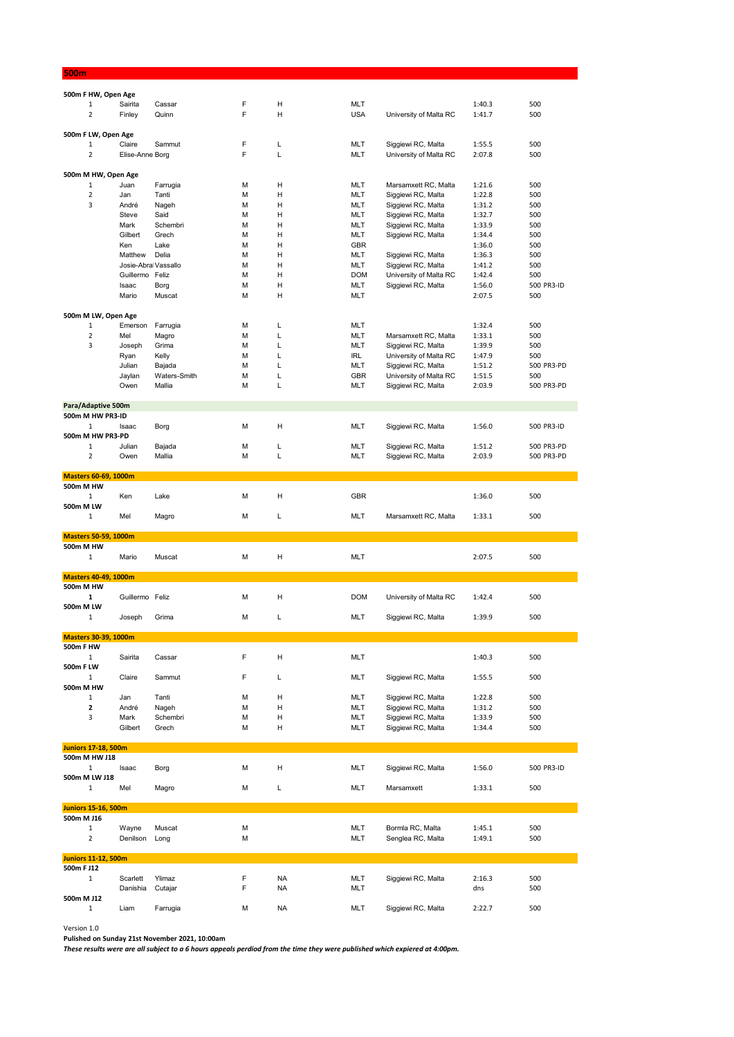| 500m                                            |                     |                        |        |           |                   |                                              |                  |                   |
|-------------------------------------------------|---------------------|------------------------|--------|-----------|-------------------|----------------------------------------------|------------------|-------------------|
|                                                 |                     |                        |        |           |                   |                                              |                  |                   |
| 500m F HW, Open Age<br>$\mathbf 1$              | Sairita             | Cassar                 | F      | н         | MLT               |                                              | 1:40.3           | 500               |
| $\overline{2}$                                  | Finley              | Quinn                  | F      | н         | <b>USA</b>        | University of Malta RC                       | 1:41.7           | 500               |
|                                                 |                     |                        |        |           |                   |                                              |                  |                   |
| 500m F LW, Open Age                             |                     |                        |        |           |                   |                                              |                  |                   |
| $\mathbf 1$                                     | Claire              | Sammut                 | F      | L         | MLT               | Siggiewi RC, Malta                           | 1:55.5           | 500               |
| $\overline{2}$                                  | Elise-Anne Borg     |                        | F      | L         | MLT               | University of Malta RC                       | 2:07.8           | 500               |
|                                                 |                     |                        |        |           |                   |                                              |                  |                   |
| 500m M HW, Open Age                             |                     |                        |        |           |                   |                                              |                  |                   |
| 1<br>$\overline{2}$                             | Juan<br>Jan         | Farrugia<br>Tanti      | M<br>М | н<br>н    | MLT<br>MLT        | Marsamxett RC, Malta                         | 1:21.6<br>1:22.8 | 500<br>500        |
| 3                                               | André               | Nageh                  | М      | Н         | MLT               | Siggiewi RC, Malta<br>Siggiewi RC, Malta     | 1:31.2           | 500               |
|                                                 | Steve               | Said                   | М      | н         | MLT               | Siggiewi RC, Malta                           | 1:32.7           | 500               |
|                                                 | Mark                | Schembri               | М      | н         | <b>MLT</b>        | Siggiewi RC, Malta                           | 1:33.9           | 500               |
|                                                 | Gilbert             | Grech                  | М      | н         | MLT               | Siggiewi RC, Malta                           | 1:34.4           | 500               |
|                                                 | Ken                 | Lake                   | М      | н         | <b>GBR</b>        |                                              | 1:36.0           | 500               |
|                                                 | Matthew             | Delia                  | М      | н         | <b>MLT</b>        | Siggiewi RC, Malta                           | 1:36.3           | 500               |
|                                                 | Josie-Abra Vassallo |                        | М      | н         | MLT               | Siggiewi RC, Malta                           | 1:41.2           | 500               |
|                                                 | Guillermo Feliz     |                        | М      | н         | <b>DOM</b>        | University of Malta RC                       | 1:42.4           | 500               |
|                                                 | Isaac<br>Mario      | Borg<br>Muscat         | М<br>М | н<br>н    | MLT<br><b>MLT</b> | Siggiewi RC, Malta                           | 1:56.0<br>2:07.5 | 500 PR3-ID<br>500 |
|                                                 |                     |                        |        |           |                   |                                              |                  |                   |
| 500m M LW, Open Age                             |                     |                        |        |           |                   |                                              |                  |                   |
| $\mathbf{1}$                                    | Emerson             | Farrugia               | M      | L         | MLT               |                                              | 1:32.4           | 500               |
| $\overline{2}$                                  | Mel                 | Magro                  | М      | L         | MLT               | Marsamxett RC, Malta                         | 1:33.1           | 500               |
| 3                                               | Joseph              | Grima                  | М      | L         | MLT               | Siggiewi RC, Malta                           | 1:39.9           | 500               |
|                                                 | Ryan                | Kelly                  | М      | L         | IRL               | University of Malta RC                       | 1:47.9           | 500               |
|                                                 | Julian              | Bajada                 | М      | L         | MLT               | Siggiewi RC, Malta                           | 1:51.2           | 500 PR3-PD        |
|                                                 | Jaylan<br>Owen      | Waters-Smith<br>Mallia | М<br>М | L<br>L    | <b>GBR</b><br>MLT | University of Malta RC<br>Siggiewi RC, Malta | 1:51.5<br>2:03.9 | 500<br>500 PR3-PD |
|                                                 |                     |                        |        |           |                   |                                              |                  |                   |
| Para/Adaptive 500m                              |                     |                        |        |           |                   |                                              |                  |                   |
| 500m M HW PR3-ID                                |                     |                        |        |           |                   |                                              |                  |                   |
| 1                                               | Isaac               | Borg                   | M      | н         | MLT               | Siggiewi RC, Malta                           | 1:56.0           | 500 PR3-ID        |
| 500m M HW PR3-PD                                |                     |                        |        |           |                   |                                              |                  |                   |
| $\mathbf 1$                                     | Julian              | Bajada                 | М      | L         | MLT               | Siggiewi RC, Malta                           | 1:51.2           | 500 PR3-PD        |
| $\overline{2}$                                  | Owen                | Mallia                 | М      | L         | MLT               | Siggiewi RC, Malta                           | 2:03.9           | 500 PR3-PD        |
| <b>Masters 60-69, 1000m</b>                     |                     |                        |        |           |                   |                                              |                  |                   |
| 500m M HW                                       |                     |                        |        |           |                   |                                              |                  |                   |
| $\mathbf{1}$                                    | Ken                 | Lake                   | М      | н         | GBR               |                                              | 1:36.0           | 500               |
| 500m M LW                                       |                     |                        |        |           |                   |                                              |                  |                   |
|                                                 | Mel                 | Magro                  | М      |           |                   |                                              |                  |                   |
| 1                                               |                     |                        |        | L         | MLT               | Marsamxett RC, Malta                         | 1:33.1           | 500               |
|                                                 |                     |                        |        |           |                   |                                              |                  |                   |
| <b>Masters 50-59, 1000m</b>                     |                     |                        |        |           |                   |                                              |                  |                   |
| 500m M HW                                       |                     |                        |        |           |                   |                                              |                  |                   |
| 1                                               | Mario               | Muscat                 | М      | н         | MLT               |                                              | 2:07.5           | 500               |
| <b>Masters 40-49, 1000m</b>                     |                     |                        |        |           |                   |                                              |                  |                   |
| 500m M HW                                       |                     |                        |        |           |                   |                                              |                  |                   |
| 1                                               | Guillermo Feliz     |                        | М      | н         | <b>DOM</b>        | University of Malta RC                       | 1:42.4           | 500               |
| 500m M LW                                       |                     |                        |        |           |                   |                                              |                  |                   |
| $\mathbf 1$                                     | Joseph              | Grima                  | М      | L         | MLT               | Siggiewi RC, Malta                           | 1:39.9           | 500               |
|                                                 |                     |                        |        |           |                   |                                              |                  |                   |
| <b>Masters 30-39, 1000m</b><br><b>500m F HW</b> |                     |                        |        |           |                   |                                              |                  |                   |
| $\mathbf{1}$                                    | Sairita             | Cassar                 | F      | н         | MLT               |                                              | 1:40.3           | 500               |
| 500m F LW                                       |                     |                        |        |           |                   |                                              |                  |                   |
| $\mathbf{1}$                                    | Claire              | Sammut                 | F      | L         | MLT               | Siggiewi RC, Malta                           | 1:55.5           | 500               |
| 500m M HW                                       |                     |                        |        |           |                   |                                              |                  |                   |
| 1                                               | Jan                 | Tanti                  | М      | н         | MLT               | Siggiewi RC, Malta                           | 1:22.8           | 500               |
| $\mathbf{2}$                                    | André               | Nageh                  | М      | н         | MLT               | Siggiewi RC, Malta                           | 1:31.2           | 500               |
| 3                                               | Mark<br>Gilbert     | Schembri<br>Grech      | М<br>М | н<br>н    | MLT<br>MLT        | Siggiewi RC, Malta<br>Siggiewi RC, Malta     | 1:33.9<br>1:34.4 | 500<br>500        |
|                                                 |                     |                        |        |           |                   |                                              |                  |                   |
| <b>Juniors 17-18, 500m</b>                      |                     |                        |        |           |                   |                                              |                  |                   |
| 500m M HW J18                                   |                     |                        |        |           |                   |                                              |                  |                   |
| $\mathbf{1}$                                    | Isaac               | Borg                   | М      | н         | <b>MLT</b>        | Siggiewi RC, Malta                           | 1:56.0           | 500 PR3-ID        |
| 500m M LW J18                                   |                     |                        |        |           |                   |                                              |                  |                   |
| $\mathbf{1}$                                    | Mel                 | Magro                  | М      | L         | MLT               | Marsamxett                                   | 1:33.1           | 500               |
| <b>Juniors 15-16, 500m</b>                      |                     |                        |        |           |                   |                                              |                  |                   |
| 500m M J16                                      |                     |                        |        |           |                   |                                              |                  |                   |
| $\mathbf{1}$                                    | Wayne               | Muscat                 | М      |           | MLT               | Bormla RC, Malta                             | 1:45.1           | 500               |
| $\overline{2}$                                  | Denilson            | Long                   | М      |           | MLT               | Senglea RC, Malta                            | 1:49.1           | 500               |
|                                                 |                     |                        |        |           |                   |                                              |                  |                   |
| <b>Juniors 11-12, 500m</b>                      |                     |                        |        |           |                   |                                              |                  |                   |
| 500m F J12<br>1                                 | Scarlett            | Ylimaz                 | F      | <b>NA</b> | MLT               | Siggiewi RC, Malta                           | 2:16.3           | 500               |
|                                                 | Danishia            | Cutajar                | F      | <b>NA</b> | <b>MLT</b>        |                                              | dns              | 500               |
| 500m M J12<br>$\mathbf{1}$                      | Liam                | Farrugia               | М      | <b>NA</b> | MLT               | Siggiewi RC, Malta                           | 2:22.7           | 500               |

Version 1.0

**Pulished on Sunday 21st November 2021, 10:00am**